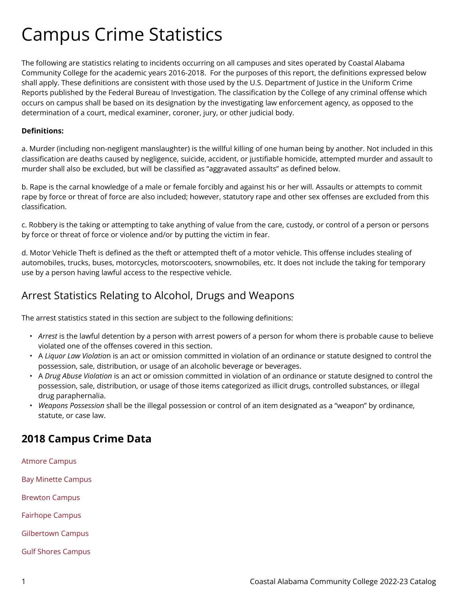## Campus Crime Statistics

The following are statistics relating to incidents occurring on all campuses and sites operated by Coastal Alabama Community College for the academic years 2016-2018. For the purposes of this report, the definitions expressed below shall apply. These definitions are consistent with those used by the U.S. Department of Justice in the Uniform Crime Reports published by the Federal Bureau of Investigation. The classification by the College of any criminal offense which occurs on campus shall be based on its designation by the investigating law enforcement agency, as opposed to the determination of a court, medical examiner, coroner, jury, or other judicial body.

## **Definitions:**

a. Murder (including non-negligent manslaughter) is the willful killing of one human being by another. Not included in this classification are deaths caused by negligence, suicide, accident, or justifiable homicide, attempted murder and assault to murder shall also be excluded, but will be classified as "aggravated assaults" as defined below.

b. Rape is the carnal knowledge of a male or female forcibly and against his or her will. Assaults or attempts to commit rape by force or threat of force are also included; however, statutory rape and other sex offenses are excluded from this classification.

c. Robbery is the taking or attempting to take anything of value from the care, custody, or control of a person or persons by force or threat of force or violence and/or by putting the victim in fear.

d. Motor Vehicle Theft is defined as the theft or attempted theft of a motor vehicle. This offense includes stealing of automobiles, trucks, buses, motorcycles, motorscooters, snowmobiles, etc. It does not include the taking for temporary use by a person having lawful access to the respective vehicle.

## Arrest Statistics Relating to Alcohol, Drugs and Weapons

The arrest statistics stated in this section are subject to the following definitions:

- *Arrest* is the lawful detention by a person with arrest powers of a person for whom there is probable cause to believe violated one of the offenses covered in this section.
- A *Liquor Law Violatio*n is an act or omission committed in violation of an ordinance or statute designed to control the possession, sale, distribution, or usage of an alcoholic beverage or beverages.
- A *Drug Abuse Violation* is an act or omission committed in violation of an ordinance or statute designed to control the possession, sale, distribution, or usage of those items categorized as illicit drugs, controlled substances, or illegal drug paraphernalia.
- *Weapons Possession* shall be the illegal possession or control of an item designated as a "weapon" by ordinance, statute, or case law.

## **2018 Campus Crime Data**

[Atmore Campus](https://catalog.coastalalabama.edu/sites/default/files/2018%20Submitted%20Crime%20Data%20-%20Atmore.pdf)  [Bay Minette Campus](https://catalog.coastalalabama.edu/sites/default/files/2018%20Submitted%20Crime%20Data%20-%20Bay%20Minette.pdf)  [Brewton Campus](https://catalog.coastalalabama.edu/sites/default/files/2018%20submitted%20crime%20data%20-%20Brewton%20Campus.pdf) [Fairhope Campus](https://catalog.coastalalabama.edu/sites/default/files/2018%20Submitted%20Crime%20Data%20-%20Fairhope%20Campus.pdf) 

[Gilbertown Campus](https://catalog.coastalalabama.edu/sites/default/files/2018%20submitted%20Crime%20Data%20-%20Gilbertown.pdf) 

[Gulf Shores Campus](https://catalog.coastalalabama.edu/sites/default/files/2018%20Submitted%20Crime%20Data%20-%20Gulf%20Shores.pdf)